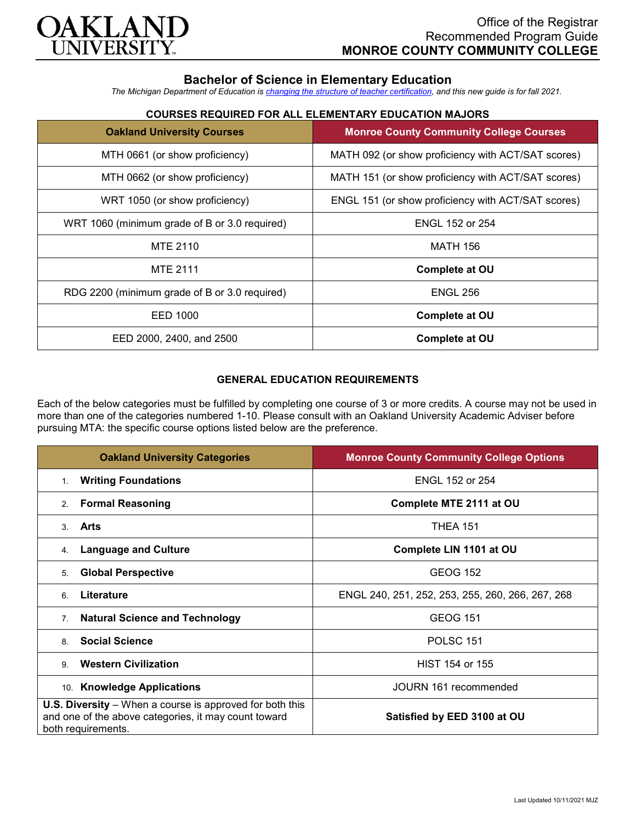

# **Bachelor of Science in Elementary Education**

*The Michigan Department of Education is [changing the structure of teacher certification,](https://docs.google.com/document/d/1W1uUK14Njx6WAB56T4jHbat65OZyg6TS04LdNWMXEcI/edit) and this new guide is for fall 2021.*

# **COURSES REQUIRED FOR ALL ELEMENTARY EDUCATION MAJORS**

| <b>Oakland University Courses</b>             | <b>Monroe County Community College Courses</b>     |
|-----------------------------------------------|----------------------------------------------------|
| MTH 0661 (or show proficiency)                | MATH 092 (or show proficiency with ACT/SAT scores) |
| MTH 0662 (or show proficiency)                | MATH 151 (or show proficiency with ACT/SAT scores) |
| WRT 1050 (or show proficiency)                | ENGL 151 (or show proficiency with ACT/SAT scores) |
| WRT 1060 (minimum grade of B or 3.0 required) | <b>ENGL 152 or 254</b>                             |
| MTE 2110                                      | <b>MATH 156</b>                                    |
| <b>MTE 2111</b>                               | <b>Complete at OU</b>                              |
| RDG 2200 (minimum grade of B or 3.0 required) | <b>ENGL 256</b>                                    |
| EED 1000                                      | <b>Complete at OU</b>                              |
| EED 2000, 2400, and 2500                      | <b>Complete at OU</b>                              |

## **GENERAL EDUCATION REQUIREMENTS**

Each of the below categories must be fulfilled by completing one course of 3 or more credits. A course may not be used in more than one of the categories numbered 1-10. Please consult with an Oakland University Academic Adviser before pursuing MTA: the specific course options listed below are the preference.

| <b>Oakland University Categories</b>                                                                                                          | <b>Monroe County Community College Options</b>   |
|-----------------------------------------------------------------------------------------------------------------------------------------------|--------------------------------------------------|
| <b>Writing Foundations</b><br>1.                                                                                                              | <b>ENGL 152 or 254</b>                           |
| <b>Formal Reasoning</b><br>2.                                                                                                                 | Complete MTE 2111 at OU                          |
| Arts<br>3                                                                                                                                     | <b>THEA 151</b>                                  |
| <b>Language and Culture</b><br>4.                                                                                                             | Complete LIN 1101 at OU                          |
| <b>Global Perspective</b><br>5.                                                                                                               | <b>GEOG 152</b>                                  |
| Literature<br>6                                                                                                                               | ENGL 240, 251, 252, 253, 255, 260, 266, 267, 268 |
| <b>Natural Science and Technology</b><br>7.                                                                                                   | <b>GEOG 151</b>                                  |
| <b>Social Science</b><br>8                                                                                                                    | POLSC <sub>151</sub>                             |
| <b>Western Civilization</b><br>9                                                                                                              | HIST 154 or 155                                  |
| 10. Knowledge Applications                                                                                                                    | JOURN 161 recommended                            |
| <b>U.S. Diversity</b> – When a course is approved for both this<br>and one of the above categories, it may count toward<br>both requirements. | Satisfied by EED 3100 at OU                      |